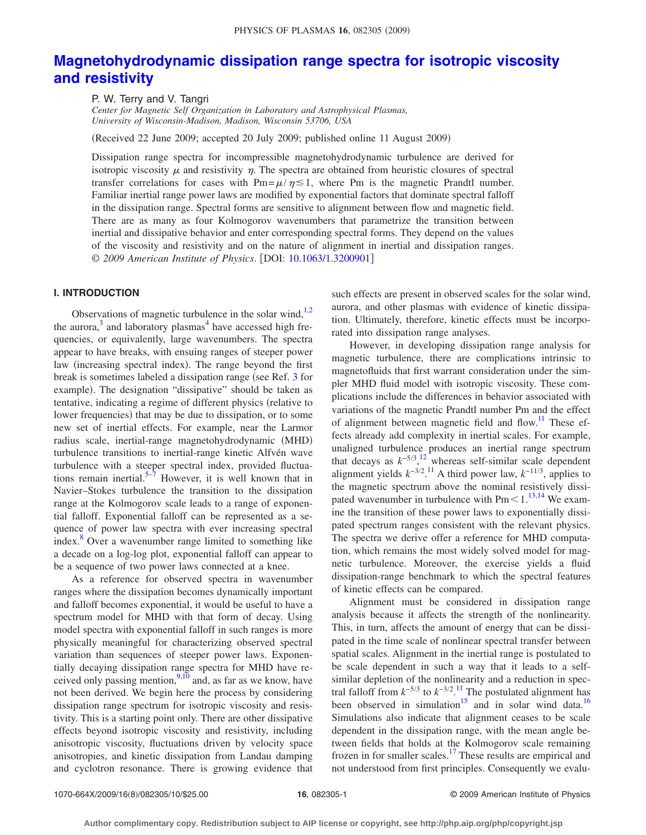# **[Magnetohydrodynamic dissipation range spectra for isotropic viscosity](http://dx.doi.org/10.1063/1.3200901) [and resistivity](http://dx.doi.org/10.1063/1.3200901)**

P. W. Terry and V. Tangri

*Center for Magnetic Self Organization in Laboratory and Astrophysical Plasmas, University of Wisconsin-Madison, Madison, Wisconsin 53706, USA*

Received 22 June 2009; accepted 20 July 2009; published online 11 August 2009-

Dissipation range spectra for incompressible magnetohydrodynamic turbulence are derived for isotropic viscosity  $\mu$  and resistivity  $\eta$ . The spectra are obtained from heuristic closures of spectral transfer correlations for cases with  $Pm = \mu/\eta \le 1$ , where Pm is the magnetic Prandtl number. Familiar inertial range power laws are modified by exponential factors that dominate spectral falloff in the dissipation range. Spectral forms are sensitive to alignment between flow and magnetic field. There are as many as four Kolmogorov wavenumbers that parametrize the transition between inertial and dissipative behavior and enter corresponding spectral forms. They depend on the values of the viscosity and resistivity and on the nature of alignment in inertial and dissipation ranges. © *2009 American Institute of Physics*. DOI: [10.1063/1.3200901](http://dx.doi.org/10.1063/1.3200901)

# **I. INTRODUCTION**

Observations of magnetic turbulence in the solar wind, $1,2$  $1,2$ the aurora, $3$  and laboratory plasmas<sup>4</sup> have accessed high frequencies, or equivalently, large wavenumbers. The spectra appear to have breaks, with ensuing ranges of steeper power law (increasing spectral index). The range beyond the first break is sometimes labeled a dissipation range (see Ref. [3](#page-8-2) for example). The designation "dissipative" should be taken as tentative, indicating a regime of different physics (relative to lower frequencies) that may be due to dissipation, or to some new set of inertial effects. For example, near the Larmor radius scale, inertial-range magnetohydrodynamic (MHD) turbulence transitions to inertial-range kinetic Alfvén wave turbulence with a steeper spectral index, provided fluctua-tions remain inertial.<sup>5–[7](#page-8-5)</sup> However, it is well known that in Navier–Stokes turbulence the transition to the dissipation range at the Kolmogorov scale leads to a range of exponential falloff. Exponential falloff can be represented as a sequence of power law spectra with ever increasing spectral index.<sup>8</sup> Over a wavenumber range limited to something like a decade on a log-log plot, exponential falloff can appear to be a sequence of two power laws connected at a knee.

As a reference for observed spectra in wavenumber ranges where the dissipation becomes dynamically important and falloff becomes exponential, it would be useful to have a spectrum model for MHD with that form of decay. Using model spectra with exponential falloff in such ranges is more physically meaningful for characterizing observed spectral variation than sequences of steeper power laws. Exponentially decaying dissipation range spectra for MHD have received only passing mention,  $9,10$  $9,10$  and, as far as we know, have not been derived. We begin here the process by considering dissipation range spectrum for isotropic viscosity and resistivity. This is a starting point only. There are other dissipative effects beyond isotropic viscosity and resistivity, including anisotropic viscosity, fluctuations driven by velocity space anisotropies, and kinetic dissipation from Landau damping and cyclotron resonance. There is growing evidence that such effects are present in observed scales for the solar wind, aurora, and other plasmas with evidence of kinetic dissipation. Ultimately, therefore, kinetic effects must be incorporated into dissipation range analyses.

However, in developing dissipation range analysis for magnetic turbulence, there are complications intrinsic to magnetofluids that first warrant consideration under the simpler MHD fluid model with isotropic viscosity. These complications include the differences in behavior associated with variations of the magnetic Prandtl number Pm and the effect of alignment between magnetic field and flow.<sup>11</sup> These effects already add complexity in inertial scales. For example, unaligned turbulence produces an inertial range spectrum that decays as  $k^{-5/3}$ ,<sup>[12](#page-8-10)</sup> whereas self-similar scale dependent alignment yields  $k^{-3/2}$ .<sup>[11](#page-8-9)</sup> A third power law,  $k^{-1/3}$ , applies to the magnetic spectrum above the nominal resistively dissipated wavenumber in turbulence with  $Pm<1$ .<sup>[13](#page-8-11)[,14](#page-8-12)</sup> We examine the transition of these power laws to exponentially dissipated spectrum ranges consistent with the relevant physics. The spectra we derive offer a reference for MHD computation, which remains the most widely solved model for magnetic turbulence. Moreover, the exercise yields a fluid dissipation-range benchmark to which the spectral features of kinetic effects can be compared.

Alignment must be considered in dissipation range analysis because it affects the strength of the nonlinearity. This, in turn, affects the amount of energy that can be dissipated in the time scale of nonlinear spectral transfer between spatial scales. Alignment in the inertial range is postulated to be scale dependent in such a way that it leads to a selfsimilar depletion of the nonlinearity and a reduction in spectral falloff from  $k^{-5/3}$  to  $k^{-3/2}$ .<sup>[11](#page-8-9)</sup> The postulated alignment has been observed in simulation<sup>15</sup> and in solar wind data.<sup>16</sup> Simulations also indicate that alignment ceases to be scale dependent in the dissipation range, with the mean angle between fields that holds at the Kolmogorov scale remaining frozen in for smaller scales.<sup>17</sup> These results are empirical and not understood from first principles. Consequently we evalu-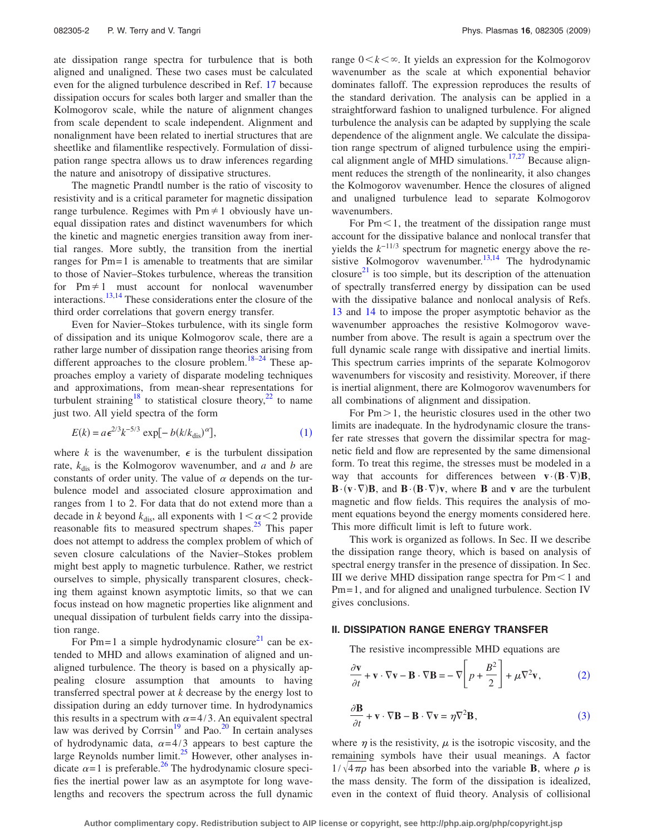ate dissipation range spectra for turbulence that is both aligned and unaligned. These two cases must be calculated even for the aligned turbulence described in Ref. [17](#page-8-15) because dissipation occurs for scales both larger and smaller than the Kolmogorov scale, while the nature of alignment changes from scale dependent to scale independent. Alignment and nonalignment have been related to inertial structures that are sheetlike and filamentlike respectively. Formulation of dissipation range spectra allows us to draw inferences regarding the nature and anisotropy of dissipative structures.

The magnetic Prandtl number is the ratio of viscosity to resistivity and is a critical parameter for magnetic dissipation range turbulence. Regimes with  $Pm \neq 1$  obviously have unequal dissipation rates and distinct wavenumbers for which the kinetic and magnetic energies transition away from inertial ranges. More subtly, the transition from the inertial ranges for Pm=1 is amenable to treatments that are similar to those of Navier–Stokes turbulence, whereas the transition for  $Pm \neq 1$  must account for nonlocal wavenumber interactions.<sup>13,[14](#page-8-12)</sup> These considerations enter the closure of the third order correlations that govern energy transfer.

Even for Navier–Stokes turbulence, with its single form of dissipation and its unique Kolmogorov scale, there are a rather large number of dissipation range theories arising from different approaches to the closure problem.<sup>18[–24](#page-8-17)</sup> These approaches employ a variety of disparate modeling techniques and approximations, from mean-shear representations for turbulent straining<sup>18</sup> to statistical closure theory,<sup>22</sup> to name just two. All yield spectra of the form

$$
E(k) = a\epsilon^{2/3}k^{-5/3}\exp[-b(k/k_{\text{dis}})^\alpha],
$$
 (1)

<span id="page-1-0"></span>where *k* is the wavenumber,  $\epsilon$  is the turbulent dissipation rate,  $k_{\text{dis}}$  is the Kolmogorov wavenumber, and *a* and *b* are constants of order unity. The value of  $\alpha$  depends on the turbulence model and associated closure approximation and ranges from 1 to 2. For data that do not extend more than a decade in *k* beyond  $k_{\text{dis}}$ , all exponents with  $1 \le \alpha \le 2$  provide reasonable fits to measured spectrum shapes.<sup>25</sup> This paper does not attempt to address the complex problem of which of seven closure calculations of the Navier–Stokes problem might best apply to magnetic turbulence. Rather, we restrict ourselves to simple, physically transparent closures, checking them against known asymptotic limits, so that we can focus instead on how magnetic properties like alignment and unequal dissipation of turbulent fields carry into the dissipation range.

For Pm=1 a simple hydrodynamic closure<sup>21</sup> can be extended to MHD and allows examination of aligned and unaligned turbulence. The theory is based on a physically appealing closure assumption that amounts to having transferred spectral power at *k* decrease by the energy lost to dissipation during an eddy turnover time. In hydrodynamics this results in a spectrum with  $\alpha = 4/3$ . An equivalent spectral law was derived by Corrsin<sup>19</sup> and Pao.<sup>20</sup> In certain analyses of hydrodynamic data,  $\alpha = 4/3$  appears to best capture the large Reynolds number  $\lim_{x \to 25} \frac{x^3}{10}$  However, other analyses indicate  $\alpha = 1$  is preferable.<sup>26</sup> The hydrodynamic closure specifies the inertial power law as an asymptote for long wavelengths and recovers the spectrum across the full dynamic range  $0 \leq k \leq \infty$ . It yields an expression for the Kolmogorov wavenumber as the scale at which exponential behavior dominates falloff. The expression reproduces the results of the standard derivation. The analysis can be applied in a straightforward fashion to unaligned turbulence. For aligned turbulence the analysis can be adapted by supplying the scale dependence of the alignment angle. We calculate the dissipation range spectrum of aligned turbulence using the empiri-cal alignment angle of MHD simulations.<sup>17,[27](#page-8-24)</sup> Because alignment reduces the strength of the nonlinearity, it also changes the Kolmogorov wavenumber. Hence the closures of aligned and unaligned turbulence lead to separate Kolmogorov wavenumbers.

For  $Pm<1$ , the treatment of the dissipation range must account for the dissipative balance and nonlocal transfer that yields the  $k^{-1/3}$  spectrum for magnetic energy above the re-sistive Kolmogorov wavenumber.<sup>13,[14](#page-8-12)</sup> The hydrodynamic closure<sup>21</sup> is too simple, but its description of the attenuation of spectrally transferred energy by dissipation can be used with the dissipative balance and nonlocal analysis of Refs. [13](#page-8-11) and [14](#page-8-12) to impose the proper asymptotic behavior as the wavenumber approaches the resistive Kolmogorov wavenumber from above. The result is again a spectrum over the full dynamic scale range with dissipative and inertial limits. This spectrum carries imprints of the separate Kolmogorov wavenumbers for viscosity and resistivity. Moreover, if there is inertial alignment, there are Kolmogorov wavenumbers for all combinations of alignment and dissipation.

For  $Pm > 1$ , the heuristic closures used in the other two limits are inadequate. In the hydrodynamic closure the transfer rate stresses that govern the dissimilar spectra for magnetic field and flow are represented by the same dimensional form. To treat this regime, the stresses must be modeled in a way that accounts for differences between  $\mathbf{v} \cdot (\mathbf{B} \cdot \nabla) \mathbf{B}$ ,  $\mathbf{B} \cdot (\mathbf{v} \cdot \nabla) \mathbf{B}$ , and  $\mathbf{B} \cdot (\mathbf{B} \cdot \nabla) \mathbf{v}$ , where **B** and **v** are the turbulent magnetic and flow fields. This requires the analysis of moment equations beyond the energy moments considered here. This more difficult limit is left to future work.

This work is organized as follows. In Sec. II we describe the dissipation range theory, which is based on analysis of spectral energy transfer in the presence of dissipation. In Sec. III we derive MHD dissipation range spectra for  $Pm<1$  and Pm= 1, and for aligned and unaligned turbulence. Section IV gives conclusions.

#### **II. DISSIPATION RANGE ENERGY TRANSFER**

The resistive incompressible MHD equations are

<span id="page-1-1"></span>
$$
\frac{\partial \mathbf{v}}{\partial t} + \mathbf{v} \cdot \nabla \mathbf{v} - \mathbf{B} \cdot \nabla \mathbf{B} = -\nabla \bigg[ p + \frac{B^2}{2} \bigg] + \mu \nabla^2 \mathbf{v},\tag{2}
$$

<span id="page-1-2"></span>
$$
\frac{\partial \mathbf{B}}{\partial t} + \mathbf{v} \cdot \nabla \mathbf{B} - \mathbf{B} \cdot \nabla \mathbf{v} = \eta \nabla^2 \mathbf{B},\tag{3}
$$

where  $\eta$  is the resistivity,  $\mu$  is the isotropic viscosity, and the remaining symbols have their usual meanings. A factor  $1/\sqrt{4\pi\rho}$  has been absorbed into the variable **B**, where  $\rho$  is the mass density. The form of the dissipation is idealized, even in the context of fluid theory. Analysis of collisional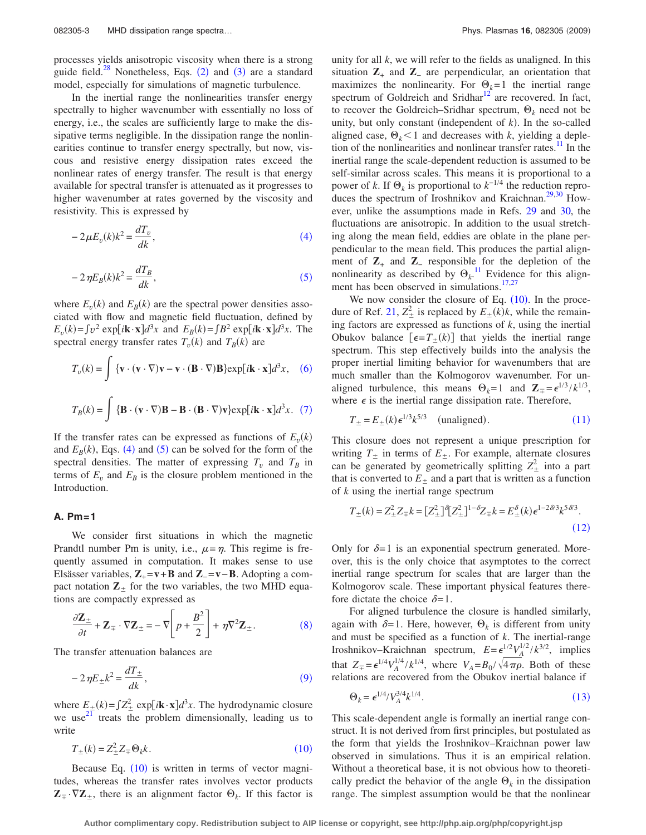processes yields anisotropic viscosity when there is a strong guide field. $28$  $28$  Nonetheless, Eqs. (2) and ([3](#page-1-2)) are a standard model, especially for simulations of magnetic turbulence.

In the inertial range the nonlinearities transfer energy spectrally to higher wavenumber with essentially no loss of energy, i.e., the scales are sufficiently large to make the dissipative terms negligible. In the dissipation range the nonlinearities continue to transfer energy spectrally, but now, viscous and resistive energy dissipation rates exceed the nonlinear rates of energy transfer. The result is that energy available for spectral transfer is attenuated as it progresses to higher wavenumber at rates governed by the viscosity and resistivity. This is expressed by

<span id="page-2-0"></span>
$$
-2\mu E_v(k)k^2 = \frac{dT_v}{dk},\tag{4}
$$

<span id="page-2-1"></span>
$$
-2\,\eta E_B(k)k^2 = \frac{dT_B}{dk},\tag{5}
$$

where  $E_v(k)$  and  $E_B(k)$  are the spectral power densities associated with flow and magnetic field fluctuation, defined by  $E_v(k) = \int v^2 \exp[i\mathbf{k} \cdot \mathbf{x}] d^3x$  and  $E_B(k) = \int B^2 \exp[i\mathbf{k} \cdot \mathbf{x}] d^3x$ . The spectral energy transfer rates  $T_v(k)$  and  $T_B(k)$  are

<span id="page-2-2"></span>
$$
T_v(k) = \int {\mathbf{v} \cdot (\mathbf{v} \cdot \nabla)\mathbf{v} - \mathbf{v} \cdot (\mathbf{B} \cdot \nabla)\mathbf{B}} \exp[i\mathbf{k} \cdot \mathbf{x}] d^3x, \quad (6)
$$

<span id="page-2-3"></span>
$$
T_B(k) = \int {\mathbf{B} \cdot (\mathbf{v} \cdot \nabla) \mathbf{B} - \mathbf{B} \cdot (\mathbf{B} \cdot \nabla) \mathbf{v}} \exp[i\mathbf{k} \cdot \mathbf{x}] d^3x. (7)
$$

If the transfer rates can be expressed as functions of  $E_v(k)$ and  $E_B(k)$ , Eqs. ([4](#page-2-0)) and ([5](#page-2-1)) can be solved for the form of the spectral densities. The matter of expressing  $T_v$  and  $T_B$  in terms of  $E_v$  and  $E_B$  is the closure problem mentioned in the Introduction.

## **A. Pm=1**

We consider first situations in which the magnetic Prandtl number Pm is unity, i.e.,  $\mu = \eta$ . This regime is frequently assumed in computation. It makes sense to use Elsässer variables,  $\mathbf{Z}_{+} = \mathbf{v} + \mathbf{B}$  and  $\mathbf{Z}_{-} = \mathbf{v} - \mathbf{B}$ . Adopting a compact notation  $\mathbb{Z}_+$  for the two variables, the two MHD equations are compactly expressed as

<span id="page-2-4"></span>
$$
\frac{\partial \mathbf{Z}_{\pm}}{\partial t} + \mathbf{Z}_{\mp} \cdot \nabla \mathbf{Z}_{\pm} = -\nabla \left[ p + \frac{B^2}{2} \right] + \eta \nabla^2 \mathbf{Z}_{\pm}.
$$
 (8)

<span id="page-2-5"></span>The transfer attenuation balances are

$$
-2\eta E_{\pm}k^2 = \frac{dT_{\pm}}{dk},
$$
\t(9)

where  $E_{\pm}(k) = \int Z_{\pm}^2 \exp[i\mathbf{k}\cdot\mathbf{x}]d^3x$ . The hydrodynamic closure we use<sup>[21](#page-8-20)</sup> treats the problem dimensionally, leading us to write

$$
T_{\pm}(k) = Z_{\pm}^{2} Z_{\mp} \Theta_{k} k. \tag{10}
$$

<span id="page-2-6"></span>Because Eq.  $(10)$  $(10)$  $(10)$  is written in terms of vector magnitudes, whereas the transfer rates involves vector products  $\mathbf{Z}_{\pm} \cdot \nabla \mathbf{Z}_{\pm}$ , there is an alignment factor  $\Theta_k$ . If this factor is unity for all *k*, we will refer to the fields as unaligned. In this situation  $\mathbf{Z}_+$  and  $\mathbf{Z}_-$  are perpendicular, an orientation that maximizes the nonlinearity. For  $\Theta_k = 1$  the inertial range spectrum of Goldreich and Sridhar $12$  are recovered. In fact, to recover the Goldreich–Sridhar spectrum,  $\Theta_k$  need not be unity, but only constant (independent of  $k$ ). In the so-called aligned case,  $\Theta_k$ <1 and decreases with *k*, yielding a depletion of the nonlinearities and nonlinear transfer rates.<sup>11</sup> In the inertial range the scale-dependent reduction is assumed to be self-similar across scales. This means it is proportional to a power of *k*. If  $\Theta_k$  is proportional to  $k^{-1/4}$  the reduction repro-duces the spectrum of Iroshnikov and Kraichnan.<sup>29,[30](#page-9-0)</sup> However, unlike the assumptions made in Refs. [29](#page-8-26) and [30,](#page-9-0) the fluctuations are anisotropic. In addition to the usual stretching along the mean field, eddies are oblate in the plane perpendicular to the mean field. This produces the partial alignment of  $\mathbb{Z}_+$  and  $\mathbb{Z}_-$  responsible for the depletion of the nonlinearity as described by  $\Theta_k$ .<sup>[11](#page-8-9)</sup> Evidence for this align-ment has been observed in simulations.<sup>17[,27](#page-8-24)</sup>

We now consider the closure of Eq.  $(10)$  $(10)$  $(10)$ . In the proce-dure of Ref. [21,](#page-8-20)  $Z_{\pm}^2$  is replaced by  $E_{\pm}(k)k$ , while the remaining factors are expressed as functions of *k*, using the inertial Obukov balance  $\left[\epsilon = T_{\pm}(k)\right]$  that yields the inertial range spectrum. This step effectively builds into the analysis the proper inertial limiting behavior for wavenumbers that are much smaller than the Kolmogorov wavenumber. For unaligned turbulence, this means  $\Theta_k = 1$  and  $\mathbb{Z}_{\mp} = \epsilon^{1/3} / k^{1/3}$ , where  $\epsilon$  is the inertial range dissipation rate. Therefore,

$$
T_{\pm} = E_{\pm}(k)\epsilon^{1/3}k^{5/3} \quad \text{(unaligned)}.
$$
 (11)

<span id="page-2-7"></span>This closure does not represent a unique prescription for writing  $T_+$  in terms of  $E_+$ . For example, alternate closures can be generated by geometrically splitting  $Z_{\pm}^2$  into a part that is converted to  $E_{+}$  and a part that is written as a function of *k* using the inertial range spectrum

<span id="page-2-8"></span>
$$
T_{\pm}(k) = Z_{\pm}^2 Z_{\mp} k = [Z_{\pm}^2]^{\delta} [Z_{\pm}^2]^{1-\delta} Z_{\mp} k = E_{\pm}^{\delta}(k) \epsilon^{1-2\delta/3} k^{5\delta/3}.
$$
\n(12)

Only for  $\delta = 1$  is an exponential spectrum generated. Moreover, this is the only choice that asymptotes to the correct inertial range spectrum for scales that are larger than the Kolmogorov scale. These important physical features therefore dictate the choice  $\delta = 1$ .

For aligned turbulence the closure is handled similarly, again with  $\delta = 1$ . Here, however,  $\Theta_k$  is different from unity and must be specified as a function of *k*. The inertial-range Iroshnikov–Kraichnan spectrum,  $E = \epsilon^{1/2} V_A^{1/2} / k^{3/2}$ , implies that  $Z_{\pm} = \epsilon^{1/4} V_A^{1/4} / k^{1/4}$ , where  $V_A = B_0 / \sqrt{4 \pi \rho}$ . Both of these relations are recovered from the Obukov inertial balance if

$$
\Theta_k = \epsilon^{1/4} / V_A^{3/4} k^{1/4}.
$$
\n(13)

<span id="page-2-9"></span>This scale-dependent angle is formally an inertial range construct. It is not derived from first principles, but postulated as the form that yields the Iroshnikov–Kraichnan power law observed in simulations. Thus it is an empirical relation. Without a theoretical base, it is not obvious how to theoretically predict the behavior of the angle  $\Theta_k$  in the dissipation range. The simplest assumption would be that the nonlinear

**Author complimentary copy. Redistribution subject to AIP license or copyright, see http://php.aip.org/php/copyright.jsp**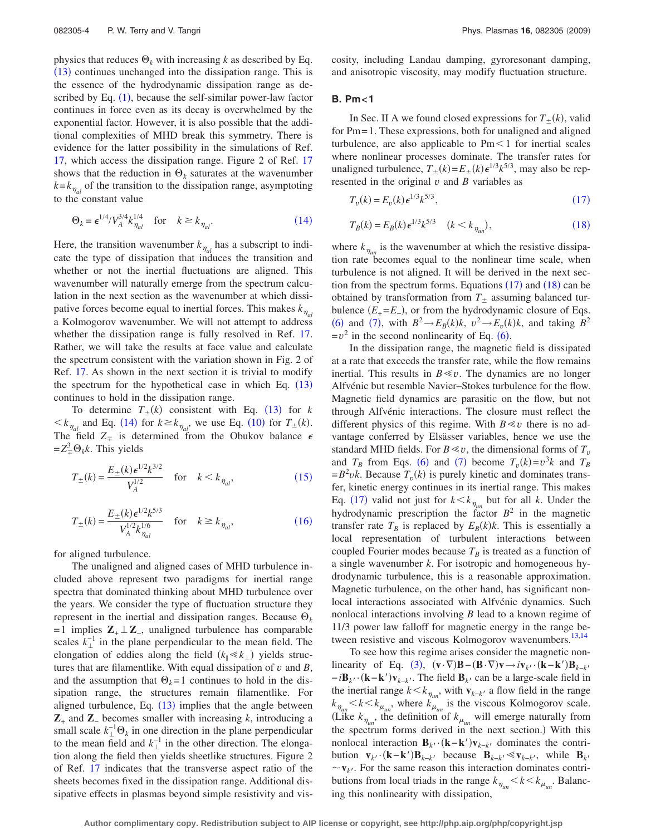physics that reduces  $\Theta_k$  with increasing *k* as described by Eq. ([13](#page-2-9)) continues unchanged into the dissipation range. This is the essence of the hydrodynamic dissipation range as described by Eq.  $(1)$  $(1)$  $(1)$ , because the self-similar power-law factor continues in force even as its decay is overwhelmed by the exponential factor. However, it is also possible that the additional complexities of MHD break this symmetry. There is evidence for the latter possibility in the simulations of Ref. [17,](#page-8-15) which access the dissipation range. Figure 2 of Ref. [17](#page-8-15) shows that the reduction in  $\Theta_k$  saturates at the wavenumber  $k = k_{\eta_{al}}$  of the transition to the dissipation range, asymptoting to the constant value

<span id="page-3-0"></span>
$$
\Theta_k = \epsilon^{1/4} / V_A^{3/4} k_{\eta_{al}}^{1/4} \quad \text{for} \quad k \ge k_{\eta_{al}}.\tag{14}
$$

Here, the transition wavenumber  $k_{\eta_{al}}$  has a subscript to indicate the type of dissipation that induces the transition and whether or not the inertial fluctuations are aligned. This wavenumber will naturally emerge from the spectrum calculation in the next section as the wavenumber at which dissipative forces become equal to inertial forces. This makes  $k_{\eta_{al}}$ a Kolmogorov wavenumber. We will not attempt to address whether the dissipation range is fully resolved in Ref. [17.](#page-8-15) Rather, we will take the results at face value and calculate the spectrum consistent with the variation shown in Fig. 2 of Ref. [17.](#page-8-15) As shown in the next section it is trivial to modify the spectrum for the hypothetical case in which Eq.  $(13)$  $(13)$  $(13)$ continues to hold in the dissipation range.

To determine  $T_{\pm}(k)$  consistent with Eq. ([13](#page-2-9)) for *k*  $\langle k_{\eta_{al}} \rangle$  and Eq. ([14](#page-3-0)) for  $k \ge k_{\eta_{al}}$ , we use Eq. ([10](#page-2-6)) for  $T_{\pm}(k)$ . The field  $Z_{\pm}$  is determined from the Obukov balance  $\epsilon$  $= Z^3_{\mp} \Theta_k k$ . This yields

<span id="page-3-1"></span>
$$
T_{\pm}(k) = \frac{E_{\pm}(k)\epsilon^{1/2}k^{3/2}}{V_A^{1/2}} \quad \text{for} \quad k < k_{\eta_{al}},\tag{15}
$$

<span id="page-3-2"></span>
$$
T_{\pm}(k) = \frac{E_{\pm}(k)\epsilon^{1/2}k^{5/3}}{V_A^{1/2}k_{\eta_{al}}^{1/6}} \quad \text{for} \quad k \ge k_{\eta_{al}},\tag{16}
$$

for aligned turbulence.

The unaligned and aligned cases of MHD turbulence included above represent two paradigms for inertial range spectra that dominated thinking about MHD turbulence over the years. We consider the type of fluctuation structure they represent in the inertial and dissipation ranges. Because  $\Theta_k$ = 1 implies **Z**+**Z**−, unaligned turbulence has comparable scales  $k_{\perp}^{-1}$  in the plane perpendicular to the mean field. The elongation of eddies along the field  $(k_{\parallel} \ll k_{\perp})$  yields structures that are filamentlike. With equal dissipation of *v* and *B*, and the assumption that  $\Theta_k = 1$  continues to hold in the dissipation range, the structures remain filamentlike. For aligned turbulence, Eq.  $(13)$  $(13)$  $(13)$  implies that the angle between **Z**<sup>+</sup> and **Z**<sup>−</sup> becomes smaller with increasing *k*, introducing a small scale  $k_{\perp}^{-1} \Theta_k$  in one direction in the plane perpendicular to the mean field and  $k_{\perp}^{-1}$  in the other direction. The elongation along the field then yields sheetlike structures. Figure 2 of Ref. [17](#page-8-15) indicates that the transverse aspect ratio of the sheets becomes fixed in the dissipation range. Additional dissipative effects in plasmas beyond simple resistivity and viscosity, including Landau damping, gyroresonant damping, and anisotropic viscosity, may modify fluctuation structure.

# **B. Pm<1**

In Sec. II A we found closed expressions for  $T_{\pm}(k)$ , valid for Pm= 1. These expressions, both for unaligned and aligned turbulence, are also applicable to  $Pm<1$  for inertial scales where nonlinear processes dominate. The transfer rates for unaligned turbulence,  $T_{\pm}(k) = E_{\pm}(k) \epsilon^{1/3} k^{5/3}$ , may also be represented in the original  $v$  and  $B$  variables as

<span id="page-3-3"></span>
$$
T_v(k) = E_v(k) \epsilon^{1/3} k^{5/3},\tag{17}
$$

<span id="page-3-4"></span>
$$
T_B(k) = E_B(k) \epsilon^{1/3} k^{5/3} \quad (k < k_{\eta_{un}}), \tag{18}
$$

where  $k_{\eta_{un}}$  is the wavenumber at which the resistive dissipation rate becomes equal to the nonlinear time scale, when turbulence is not aligned. It will be derived in the next section from the spectrum forms. Equations  $(17)$  $(17)$  $(17)$  and  $(18)$  $(18)$  $(18)$  can be obtained by transformation from  $T_{\pm}$  assuming balanced turbulence  $(E_{+} = E_{-})$ , or from the hydrodynamic closure of Eqs. ([6](#page-2-2)) and ([7](#page-2-3)), with  $B^2 \to E_B(k)k$ ,  $v^2 \to E_v(k)k$ , and taking  $B^2$  $=v^2$  in the second nonlinearity of Eq. ([6](#page-2-2)).

In the dissipation range, the magnetic field is dissipated at a rate that exceeds the transfer rate, while the flow remains inertial. This results in  $B \ll v$ . The dynamics are no longer Alfvénic but resemble Navier–Stokes turbulence for the flow. Magnetic field dynamics are parasitic on the flow, but not through Alfvénic interactions. The closure must reflect the different physics of this regime. With  $B \ll v$  there is no advantage conferred by Elsässer variables, hence we use the standard MHD fields. For  $B \ll v$ , the dimensional forms of  $T_v$ and  $T_B$  from Eqs. ([6](#page-2-2)) and ([7](#page-2-3)) become  $T_v(k)=v^3k$  and  $T_B$  $=B^2 v k$ . Because  $T_v(k)$  is purely kinetic and dominates transfer, kinetic energy continues in its inertial range. This makes Eq. ([17](#page-3-3)) valid not just for  $k < k_{\eta_{un}}$  but for all *k*. Under the hydrodynamic prescription the factor  $B^2$  in the magnetic transfer rate  $T_B$  is replaced by  $E_B(k)k$ . This is essentially a local representation of turbulent interactions between coupled Fourier modes because  $T_B$  is treated as a function of a single wavenumber *k*. For isotropic and homogeneous hydrodynamic turbulence, this is a reasonable approximation. Magnetic turbulence, on the other hand, has significant nonlocal interactions associated with Alfvénic dynamics. Such nonlocal interactions involving *B* lead to a known regime of 11/3 power law falloff for magnetic energy in the range be-tween resistive and viscous Kolmogorov wavenumbers.<sup>13[,14](#page-8-12)</sup>

To see how this regime arises consider the magnetic non-linearity of Eq. ([3](#page-1-2)),  $(\mathbf{v} \cdot \nabla)\mathbf{B}-(\mathbf{B} \cdot \nabla)\mathbf{v} \rightarrow i\mathbf{v}_{k'}\cdot(\mathbf{k}-\mathbf{k}')$ linearity of Eq. (3),  $(\mathbf{v} \cdot \nabla)\mathbf{B} - (\mathbf{B} \cdot \nabla)\mathbf{v} \rightarrow i\mathbf{v}_{k'} \cdot (\mathbf{k} - \mathbf{k'})\mathbf{B}_{k-k'}$ <br>
−*i***B**<sub>k</sub><sup>*i*</sup> (**k**−**k**<sup>*'*</sup>)**v**<sub>k−k</sub><sup>*i*</sup>. The field **B**<sub>k</sub><sup>*i*</sup> can be a large-scale field in the inertial range  $k < k_{\eta_{un}}$ , with  $\mathbf{v}_{k-k}$  a flow field in the range  $k_{\eta_{un}} < k < k_{\mu_{un}}$ , where  $k_{\mu_{un}}$  is the viscous Kolmogorov scale. (Like  $k_{\eta_{un}}$ , the definition of  $k_{\mu_{un}}$  will emerge naturally from the spectrum forms derived in the next section.) With this nonlocal interaction  $\mathbf{B}_{k}$ <sup>*k*</sup> $(\mathbf{k} - \mathbf{k}')\mathbf{v}_{k-k}$  dominates the contri**bution**  $\mathbf{v}_{k'} \cdot (\mathbf{k} - \mathbf{k'}) \mathbf{B}_{k-k'}$  because  $\mathbf{B}_{k-k'} \ll \mathbf{v}_{k-k'}$ bution  $\mathbf{v}_{k'} \cdot (\mathbf{k} - \mathbf{k'}) \mathbf{B}_{k-k'}$  because  $\mathbf{B}_{k-k'} \ll \mathbf{v}_{k-k'}$ , while  $\mathbf{B}_{k'}$ <br>  $\sim \mathbf{v}_{k'}$ . For the same reason this interaction dominates contributions from local triads in the range  $k_{\eta_{un}} < k < k_{\mu_{un}}$ . Balancing this nonlinearity with dissipation,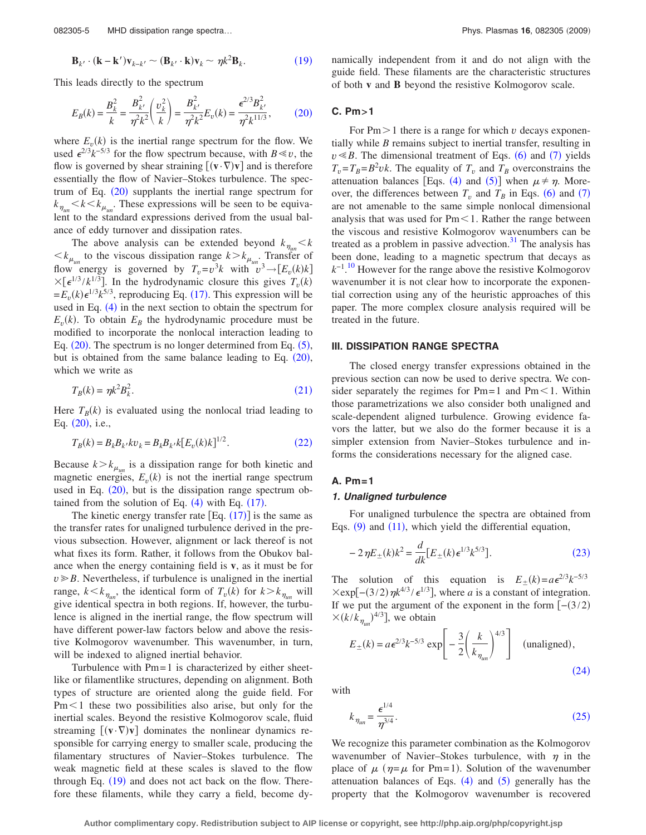<span id="page-4-0"></span>
$$
\mathbf{B}_{k'} \cdot (\mathbf{k} - \mathbf{k}') \mathbf{v}_{k-k'} \sim (\mathbf{B}_{k'} \cdot \mathbf{k}) \mathbf{v}_k \sim \eta k^2 \mathbf{B}_k. \tag{19}
$$

<span id="page-4-1"></span>This leads directly to the spectrum

$$
E_B(k) = \frac{B_k^2}{k} = \frac{B_{k'}^2}{\eta^2 k^2} \left(\frac{v_k^2}{k}\right) = \frac{B_{k'}^2}{\eta^2 k^2} E_v(k) = \frac{\epsilon^{2/3} B_{k'}^2}{\eta^2 k^{11/3}},\tag{20}
$$

where  $E_v(k)$  is the inertial range spectrum for the flow. We used  $\epsilon^{2/3} k^{-5/3}$  for the flow spectrum because, with *B* ≤ *v*, the flow is governed by shear straining  $[(\mathbf{v} \cdot \nabla) \mathbf{v}]$  and is therefore essentially the flow of Navier–Stokes turbulence. The spectrum of Eq.  $(20)$  $(20)$  $(20)$  supplants the inertial range spectrum for  $k_{\eta_{un}}$   $\lt k$   $\lt k_{\mu_{un}}$ . These expressions will be seen to be equivalent to the standard expressions derived from the usual balance of eddy turnover and dissipation rates.

The above analysis can be extended beyond  $k_{\eta_{\mu n}} < k$  $\langle k \rangle_{\mu_{\mu\nu}}$  to the viscous dissipation range  $k > k_{\mu_{\mu\nu}}$ . Transfer of flow energy is governed by  $T_v = v^3 k$  with  $v^3 \rightarrow [E_v(k)k]$  $\times [\epsilon^{1/3} / k^{1/3}]$ . In the hydrodynamic closure this gives  $T_v(k)$  $=E_{\nu}(k)\epsilon^{1/3}k^{5/3}$ , reproducing Eq. ([17](#page-3-3)). This expression will be used in Eq. ([4](#page-2-0)) in the next section to obtain the spectrum for  $E_v(k)$ . To obtain  $E_B$  the hydrodynamic procedure must be modified to incorporate the nonlocal interaction leading to Eq.  $(20)$  $(20)$  $(20)$ . The spectrum is no longer determined from Eq.  $(5)$  $(5)$  $(5)$ , but is obtained from the same balance leading to Eq.  $(20)$  $(20)$  $(20)$ , which we write as

$$
T_B(k) = \eta k^2 B_k^2. \tag{21}
$$

<span id="page-4-2"></span>Here  $T_B(k)$  is evaluated using the nonlocal triad leading to Eq. ([20](#page-4-1)), i.e.,

<span id="page-4-3"></span>
$$
T_B(k) = B_k B_{k'} k v_k = B_k B_{k'} k [E_v(k)k]^{1/2}.
$$
 (22)

Because  $k > k_{\mu}$  is a dissipation range for both kinetic and magnetic energies,  $E_v(k)$  is not the inertial range spectrum used in Eq. ([20](#page-4-1)), but is the dissipation range spectrum obtained from the solution of Eq.  $(4)$  $(4)$  $(4)$  with Eq.  $(17)$  $(17)$  $(17)$ .

The kinetic energy transfer rate  $[Eq. (17)]$  $[Eq. (17)]$  $[Eq. (17)]$  is the same as the transfer rates for unaligned turbulence derived in the previous subsection. However, alignment or lack thereof is not what fixes its form. Rather, it follows from the Obukov balance when the energy containing field is **v**, as it must be for  $v \ge B$ . Nevertheless, if turbulence is unaligned in the inertial range,  $k < k_{\eta_{un}}$ , the identical form of  $T_v(k)$  for  $k > k_{\eta_{un}}$  will give identical spectra in both regions. If, however, the turbulence is aligned in the inertial range, the flow spectrum will have different power-law factors below and above the resistive Kolmogorov wavenumber. This wavenumber, in turn, will be indexed to aligned inertial behavior.

Turbulence with  $Pm=1$  is characterized by either sheetlike or filamentlike structures, depending on alignment. Both types of structure are oriented along the guide field. For  $Pm<1$  these two possibilities also arise, but only for the inertial scales. Beyond the resistive Kolmogorov scale, fluid streaming  $[(\mathbf{v} \cdot \nabla) \mathbf{v}]$  dominates the nonlinear dynamics responsible for carrying energy to smaller scale, producing the filamentary structures of Navier–Stokes turbulence. The weak magnetic field at these scales is slaved to the flow through Eq. ([19](#page-4-0)) and does not act back on the flow. Therefore these filaments, while they carry a field, become dynamically independent from it and do not align with the guide field. These filaments are the characteristic structures of both **v** and **B** beyond the resistive Kolmogorov scale.

# **C. Pm>1**

For  $Pm > 1$  there is a range for which *v* decays exponentially while *B* remains subject to inertial transfer, resulting in  $v \le B$ . The dimensional treatment of Eqs. ([6](#page-2-2)) and ([7](#page-2-3)) yields  $T_v = T_B = B^2 v k$ . The equality of  $T_v$  and  $T_B$  overconstrains the attenuation balances [Eqs. ([4](#page-2-0)) and ([5](#page-2-1))] when  $\mu \neq \eta$ . Moreover, the differences between  $T_v$  and  $T_B$  in Eqs. ([6](#page-2-2)) and ([7](#page-2-3)) are not amenable to the same simple nonlocal dimensional analysis that was used for  $Pm<1$ . Rather the range between the viscous and resistive Kolmogorov wavenumbers can be treated as a problem in passive advection. $31$  The analysis has been done, leading to a magnetic spectrum that decays as *k*−1. [10](#page-8-8) However for the range above the resistive Kolmogorov wavenumber it is not clear how to incorporate the exponential correction using any of the heuristic approaches of this paper. The more complex closure analysis required will be treated in the future.

### **III. DISSIPATION RANGE SPECTRA**

The closed energy transfer expressions obtained in the previous section can now be used to derive spectra. We consider separately the regimes for  $Pm=1$  and  $Pm<1$ . Within those parametrizations we also consider both unaligned and scale-dependent aligned turbulence. Growing evidence favors the latter, but we also do the former because it is a simpler extension from Navier–Stokes turbulence and informs the considerations necessary for the aligned case.

## **A. Pm=1**

## *1. Unaligned turbulence*

For unaligned turbulence the spectra are obtained from Eqs. ([9](#page-2-5)) and ([11](#page-2-7)), which yield the differential equation,

<span id="page-4-4"></span>
$$
-2\eta E_{\pm}(k)k^2 = \frac{d}{dk}[E_{\pm}(k)\epsilon^{1/3}k^{5/3}].
$$
 (23)

The solution of this equation is  $E_{\pm}(k) = a\epsilon^{2/3}k^{-5/3}$  $\times$ exp[-(3/2) $\eta k^{4/3}/\epsilon^{1/3}$ ], where *a* is a constant of integration. If we put the argument of the exponent in the form  $[-(3/2)]$  $\times (k/k_{\eta_{un}})^{4/3}]$ , we obtain

<span id="page-4-5"></span>
$$
E_{\pm}(k) = a\epsilon^{2/3}k^{-5/3}\exp\left[-\frac{3}{2}\left(\frac{k}{k_{\eta_{un}}}\right)^{4/3}\right] \quad \text{(unaligned)},\tag{24}
$$

<span id="page-4-6"></span>with

$$
k_{\eta_{\mu n}} = \frac{\epsilon^{1/4}}{\eta^{3/4}}.
$$
 (25)

We recognize this parameter combination as the Kolmogorov wavenumber of Navier-Stokes turbulence, with  $\eta$  in the place of  $\mu$  ( $\eta = \mu$  for Pm=1). Solution of the wavenumber attenuation balances of Eqs.  $(4)$  $(4)$  $(4)$  and  $(5)$  $(5)$  $(5)$  generally has the property that the Kolmogorov wavenumber is recovered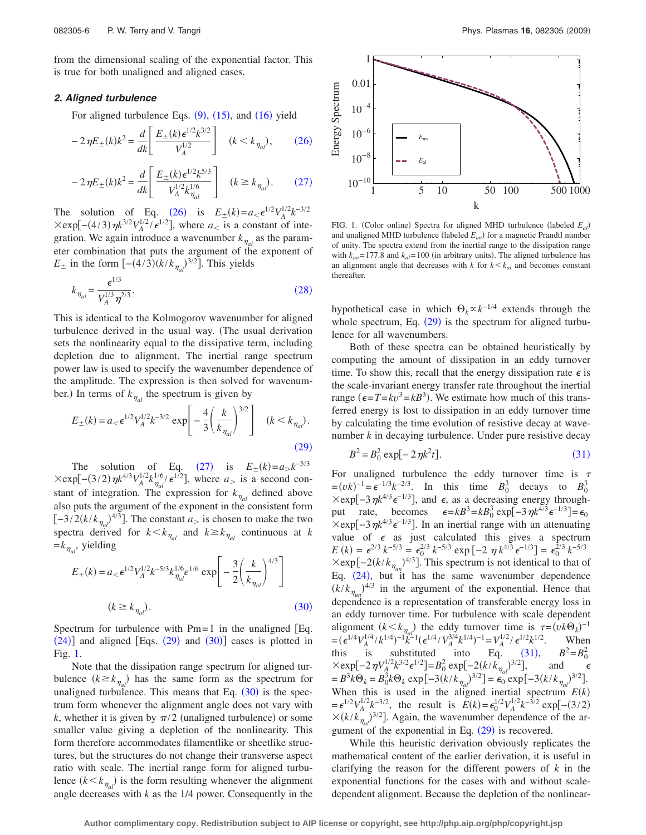from the dimensional scaling of the exponential factor. This is true for both unaligned and aligned cases.

# *2. Aligned turbulence*

For aligned turbulence Eqs.  $(9)$  $(9)$  $(9)$ ,  $(15)$  $(15)$  $(15)$ , and  $(16)$  $(16)$  $(16)$  yield

<span id="page-5-0"></span>
$$
-2\,\eta E_{\pm}(k)k^2 = \frac{d}{dk} \left[ \frac{E_{\pm}(k)\,\epsilon^{1/2}k^{3/2}}{V_A^{1/2}} \right] \quad (k < k_{\eta_{al}}),\tag{26}
$$

<span id="page-5-1"></span>
$$
-2\,\eta E_{\pm}(k)k^2 = \frac{d}{dk} \left[ \frac{E_{\pm}(k)\,\epsilon^{1/2}k^{5/3}}{V_A^{1/2}k_{\eta_{al}}^{1/6}} \right] \quad (k \ge k_{\eta_{al}}). \tag{27}
$$

The solution of Eq. ([26](#page-5-0)) is  $E_{\pm}(k) = a_{< \epsilon} e^{1/2} V_A^{1/2} k^{-3/2}$  $\times$ exp[-(4/3)  $\eta k^{3/2} V_A^{1/2} / \epsilon^{1/2}$ ], where *a* is a constant of integration. We again introduce a wavenumber  $k_{\eta_{al}}$  as the parameter combination that puts the argument of the exponent of  $E_{\pm}$  in the form  $[-(4/3)(k/k_{\eta_{al}})^{3/2}]$ . This yields

<span id="page-5-2"></span>
$$
k_{\eta_{al}} = \frac{\epsilon^{1/3}}{V_A^{1/3} \eta^{2/3}}.
$$
\n(28)

This is identical to the Kolmogorov wavenumber for aligned turbulence derived in the usual way. The usual derivation sets the nonlinearity equal to the dissipative term, including depletion due to alignment. The inertial range spectrum power law is used to specify the wavenumber dependence of the amplitude. The expression is then solved for wavenumber.) In terms of  $k_{\eta_{al}}$  the spectrum is given by

<span id="page-5-3"></span>
$$
E_{\pm}(k) = a_{<} \epsilon^{1/2} V_A^{1/2} k^{-3/2} \exp\left[ -\frac{4}{3} \left( \frac{k}{k_{\eta_{al}}} \right)^{3/2} \right] \quad (k < k_{\eta_{al}}). \tag{29}
$$

The solution of Eq. ([27](#page-5-1)) is  $E_{\pm}(k) = a_{>}k^{-5/3}$  $\times$ exp[-(3/2)  $\eta k^{4/3} V_A^{1/2} k_{\eta_{al}}^{1/6} / \epsilon^{1/2}$ ], where *a* is a second constant of integration. The expression for  $k_{\eta_{al}}$  defined above also puts the argument of the exponent in the consistent form  $[-3/2(k/k_{\eta_{al}})^{4/3}]$ . The constant  $a_{>}$  is chosen to make the two spectra derived for  $k < k_{\eta_{al}}$  and  $k \ge k_{\eta_{al}}$  continuous at *k*  $=k_{\eta_{al}}$ , yielding

<span id="page-5-4"></span>
$$
E_{\pm}(k) = a_{<} \epsilon^{1/2} V_A^{1/2} k^{-5/3} k_{\eta_{\text{all}}}^{1/6} e^{1/6} \exp\left[ -\frac{3}{2} \left( \frac{k}{k_{\eta_{\text{all}}}} \right)^{4/3} \right]
$$
\n
$$
(k \ge k_{\eta_{\text{all}}}). \tag{30}
$$

Spectrum for turbulence with  $Pm=1$  in the unaligned [Eq.  $(24)$  $(24)$  $(24)$ ] and aligned [Eqs.  $(29)$  $(29)$  $(29)$  and  $(30)$  $(30)$  $(30)$ ] cases is plotted in Fig. [1.](#page-5-5)

Note that the dissipation range spectrum for aligned turbulence  $(k \geq k_{\eta_{al}})$  has the same form as the spectrum for unaligned turbulence. This means that Eq.  $(30)$  $(30)$  $(30)$  is the spectrum form whenever the alignment angle does not vary with  $k$ , whether it is given by  $\pi/2$  (unaligned turbulence) or some smaller value giving a depletion of the nonlinearity. This form therefore accommodates filamentlike or sheetlike structures, but the structures do not change their transverse aspect ratio with scale. The inertial range form for aligned turbulence  $(k < k_{\eta_{al}})$  is the form resulting whenever the alignment angle decreases with *k* as the 1/4 power. Consequently in the



<span id="page-5-5"></span>

FIG. 1. (Color online) Spectra for aligned MHD turbulence (labeled  $E_{al}$ ) and unaligned MHD turbulence (labeled  $E_{un}$ ) for a magnetic Prandtl number of unity. The spectra extend from the inertial range to the dissipation range with  $k_{un}$  = 177.8 and  $k_{al}$  = 100 (in arbitrary units). The aligned turbulence has an alignment angle that decreases with  $k$  for  $k < k_{al}$  and becomes constant thereafter.

hypothetical case in which  $\Theta_k \propto k^{-1/4}$  extends through the whole spectrum, Eq.  $(29)$  $(29)$  $(29)$  is the spectrum for aligned turbulence for all wavenumbers.

Both of these spectra can be obtained heuristically by computing the amount of dissipation in an eddy turnover time. To show this, recall that the energy dissipation rate  $\epsilon$  is the scale-invariant energy transfer rate throughout the inertial range ( $\epsilon = T = kv^3 = kB^3$ ). We estimate how much of this transferred energy is lost to dissipation in an eddy turnover time by calculating the time evolution of resistive decay at wavenumber *k* in decaying turbulence. Under pure resistive decay

$$
B^2 = B_0^2 \exp[-2\eta k^2 t].
$$
 (31)

<span id="page-5-6"></span>For unaligned turbulence the eddy turnover time is  $\tau$  $=(vk)^{-1} = e^{-1/3}k^{-2/3}$ . In this time  $B_0^3$  decays to  $B_0^3$  $\times$ exp[-3 $\eta k^{4/3} \epsilon^{-1/3}$ ], and  $\epsilon$ , as a decreasing energy throughput rate, becomes  $\epsilon = kB^3 = kB_0^3 \exp[-3 \eta k^{4/3} \epsilon^{-1/3}] = \epsilon_0$  $\times$ exp[-3 $\eta k^{4/3} \epsilon^{-1/3}$ ]. In an inertial range with an attenuating value of  $\epsilon$  as just calculated this gives a spectrum  $E(k) = \epsilon^{2/3} k^{-5/3} = \epsilon_0^{2/3} k^{-5/3} \exp[-2 \eta k^{4/3} \epsilon^{-1/3}] = \epsilon_0^{2/3} k^{-5/3}$  $\times$ exp[-2( $k/k_{\eta_{un}}$ )<sup>4/3</sup>]. This spectrum is not identical to that of Eq.  $(24)$  $(24)$  $(24)$ , but it has the same wavenumber dependence  $(k/k_{\eta_{un}})^{4/3}$  in the argument of the exponential. Hence that dependence is a representation of transferable energy loss in an eddy turnover time. For turbulence with scale dependent alignment  $(k < k_{nq_d})$  the eddy turnover time is  $\tau = (vk\Theta_k)^{-1}$  $=(\epsilon^{1/4}V_A^{1/4}/k^{1/4})^{-1}k^{1/4}(\epsilon^{1/4}/V_A^{3/4}k^{1/4})^{-1}=V_A^{1/2}/\epsilon^{1/2}k^{1/2}.$  When this is substituted into Eq. ([31](#page-5-6)),  $B^2 = B_0^2$  $\times \exp[-2\eta V_A^{1/2}k^{3/2}\epsilon^{1/2}] = B_0^2 \exp[-2(k/k_{\eta_d})^{3/2}],$  and  $\epsilon$  $= B^3 k \Theta_k = B_0^3 k \Theta_k \exp[-3(k/k_{\eta_{al}})^{3/2}] = \epsilon_0^{a} \exp[-3(k/k_{\eta_{al}})^{3/2}].$ When this is used in the aligned inertial spectrum  $E(k)$  $= \epsilon^{1/2} V_A^{1/2} k^{-3/2}$ , the result is  $E(k) = \epsilon_0^{1/2} V_A^{1/2} k^{-3/2} \exp[-(3/2)]$  $\times (k/k_{\eta_{al}})^{3/2}$ . Again, the wavenumber dependence of the argument of the exponential in Eq.  $(29)$  $(29)$  $(29)$  is recovered.

While this heuristic derivation obviously replicates the mathematical content of the earlier derivation, it is useful in clarifying the reason for the different powers of *k* in the exponential functions for the cases with and without scaledependent alignment. Because the depletion of the nonlinear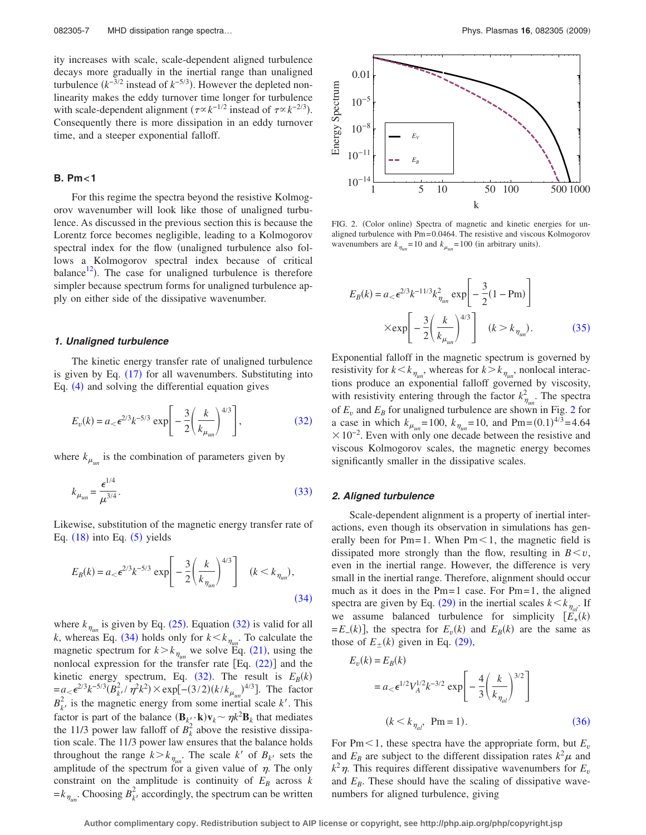ity increases with scale, scale-dependent aligned turbulence decays more gradually in the inertial range than unaligned turbulence  $(k^{-3/2}$  instead of  $k^{-5/3}$ ). However the depleted nonlinearity makes the eddy turnover time longer for turbulence with scale-dependent alignment  $(\tau \propto k^{-1/2}$  instead of  $\tau \propto k^{-2/3}$ ). Consequently there is more dissipation in an eddy turnover time, and a steeper exponential falloff.

## **B. Pm<1**

For this regime the spectra beyond the resistive Kolmogorov wavenumber will look like those of unaligned turbulence. As discussed in the previous section this is because the Lorentz force becomes negligible, leading to a Kolmogorov spectral index for the flow (unaligned turbulence also follows a Kolmogorov spectral index because of critical balance $^{12}$ ). The case for unaligned turbulence is therefore simpler because spectrum forms for unaligned turbulence apply on either side of the dissipative wavenumber.

### *1. Unaligned turbulence*

The kinetic energy transfer rate of unaligned turbulence is given by Eq.  $(17)$  $(17)$  $(17)$  for all wavenumbers. Substituting into Eq. ([4](#page-2-0)) and solving the differential equation gives

<span id="page-6-0"></span>
$$
E_v(k) = a_< \epsilon^{2/3} k^{-5/3} \exp\left[-\frac{3}{2}\left(\frac{k}{k_{\mu_{un}}}\right)^{4/3}\right],
$$
 (32)

<span id="page-6-1"></span>where  $k_{\mu_{\mu}}$  is the combination of parameters given by

$$
k_{\mu_{un}} = \frac{\epsilon^{1/4}}{\mu^{3/4}}.
$$
\n(33)

Likewise, substitution of the magnetic energy transfer rate of Eq.  $(18)$  $(18)$  $(18)$  into Eq.  $(5)$  $(5)$  $(5)$  yields

<span id="page-6-2"></span>
$$
E_B(k) = a_< \epsilon^{2/3} k^{-5/3} \exp\left[-\frac{3}{2} \left(\frac{k}{k_{\eta_{un}}} \right)^{4/3} \right] \quad (k < k_{\eta_{un}}),
$$
\n(34)

where  $k_{\eta_{un}}$  is given by Eq. ([25](#page-4-6)). Equation ([32](#page-6-0)) is valid for all *k*, whereas Eq. ([34](#page-6-2)) holds only for  $k < k_{\eta_{un}}$ . To calculate the magnetic spectrum for  $k > k_{\eta_{un}}$  we solve Eq. ([21](#page-4-2)), using the nonlocal expression for the transfer rate  $[Eq. (22)]$  $[Eq. (22)]$  $[Eq. (22)]$  and the kinetic energy spectrum, Eq.  $(32)$  $(32)$  $(32)$ . The result is  $E_B(k)$  $= a < \epsilon^{2/3} k^{-5/3} (B_k^2 / \eta^2 k^2) \times \exp[-(3/2)(k/k_{\mu_{un}})^{4/3}]$ . The factor  $B_k^2$ , is the magnetic energy from some inertial scale *k'*. This factor is part of the balance  $(\mathbf{B}_{k'_{\ell}} \cdot \mathbf{k}) \mathbf{v}_k \sim \eta k^2 \mathbf{B}_k$  that mediates the 11/3 power law falloff of  $B_k^2$  above the resistive dissipation scale. The 11/3 power law ensures that the balance holds throughout the range  $k > k_{\eta_{un}}$ . The scale  $k'$  of  $B_{k'}$  sets the amplitude of the spectrum for a given value of  $\eta$ . The only constraint on the amplitude is continuity of  $E_B$  across  $k$  $=k_{\eta_{un}}$ . Choosing  $B_k^2$ , accordingly, the spectrum can be written

<span id="page-6-4"></span>

FIG. 2. (Color online) Spectra of magnetic and kinetic energies for unaligned turbulence with Pm= 0.0464. The resistive and viscous Kolmogorov wavenumbers are  $k_{\eta_{un}} = 10$  and  $k_{\mu_{un}} = 100$  (in arbitrary units).

<span id="page-6-3"></span>
$$
E_B(k) = a_< \epsilon^{2/3} k^{-11/3} k_{\eta_{um}}^2 \exp\left[-\frac{3}{2} (1 - Pm)\right]
$$
  
× $\exp\left[-\frac{3}{2} \left(\frac{k}{k_{\mu_{um}}}\right)^{4/3}\right]$   $(k > k_{\eta_{um}}).$  (35)

Exponential falloff in the magnetic spectrum is governed by resistivity for  $k < k_{\eta_{un}}$ , whereas for  $k > k_{\eta_{un}}$ , nonlocal interactions produce an exponential falloff governed by viscosity, with resistivity entering through the factor  $k_{\eta_{un}}^2$ . The spectra of  $E_v$  and  $E_B$  for unaligned turbulence are shown in Fig. [2](#page-6-4) for a case in which  $k_{\mu_{un}} = 100$ ,  $k_{\eta_{un}} = 10$ , and  $Pm = (0.1)^{4/3} = 4.64$  $\times 10^{-2}$ . Even with only one decade between the resistive and viscous Kolmogorov scales, the magnetic energy becomes significantly smaller in the dissipative scales.

#### *2. Aligned turbulence*

Scale-dependent alignment is a property of inertial interactions, even though its observation in simulations has generally been for Pm=1. When  $Pm<1$ , the magnetic field is dissipated more strongly than the flow, resulting in  $B \le v$ , even in the inertial range. However, the difference is very small in the inertial range. Therefore, alignment should occur much as it does in the  $Pm=1$  case. For  $Pm=1$ , the aligned spectra are given by Eq. ([29](#page-5-3)) in the inertial scales  $k < k_{\eta_{al}}$ . If we assume balanced turbulence for simplicity  $\left[\overrightarrow{E_+}(k)\right]$  $=E_-(k)$ , the spectra for  $E_v(k)$  and  $E_B(k)$  are the same as those of  $E_{\pm}(k)$  given in Eq. ([29](#page-5-3)),

<span id="page-6-5"></span>
$$
E_v(k) = E_B(k)
$$
  
=  $a < \epsilon^{1/2} V_A^{1/2} k^{-3/2} \exp\left[-\frac{4}{3} \left(\frac{k}{k_{\eta_{al}}}\right)^{3/2}\right]$   
 $(k < k_{\eta_{al}}, \text{ Pm} = 1).$  (36)

For Pm $\leq$ 1, these spectra have the appropriate form, but  $E<sub>v</sub>$ and  $E_B$  are subject to the different dissipation rates  $k^2\mu$  and  $k^2 \eta$ . This requires different dissipative wavenumbers for  $E_v$ and  $E_B$ . These should have the scaling of dissipative wavenumbers for aligned turbulence, giving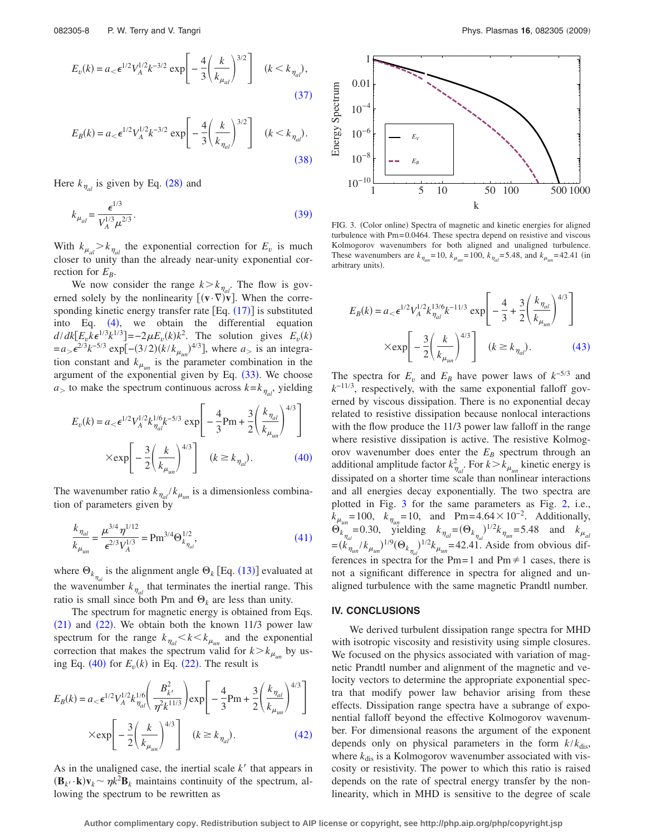<span id="page-7-0"></span>
$$
E_v(k) = a_< \epsilon^{1/2} V_A^{1/2} k^{-3/2} \exp\left[-\frac{4}{3} \left(\frac{k}{k_{\mu_{al}}}\right)^{3/2}\right] \quad (k < k_{\eta_{al}}),
$$
\n(37)

<span id="page-7-1"></span>
$$
E_B(k) = a_< \epsilon^{1/2} V_A^{1/2} k^{-3/2} \exp\left[-\frac{4}{3} \left(\frac{k}{k_{\eta_{al}}}\right)^{3/2}\right] \quad (k < k_{\eta_{al}}).
$$
\n(38)

<span id="page-7-2"></span>Here  $k_{\eta_{al}}$  is given by Eq. ([28](#page-5-2)) and

$$
k_{\mu_{al}} = \frac{\epsilon^{1/3}}{V_A^{1/3} \mu^{2/3}}.
$$
\n(39)

With  $k_{\mu_{al}} > k_{\eta_{al}}$  the exponential correction for  $E_v$  is much closer to unity than the already near-unity exponential correction for  $E_B$ .

We now consider the range  $k > k_{\eta a}$ . The flow is governed solely by the nonlinearity  $[(\mathbf{v} \cdot \nabla) \mathbf{\bar{v}}]$ . When the corresponding kinetic energy transfer rate  $[Eq. (17)]$  $[Eq. (17)]$  $[Eq. (17)]$  is substituted into Eq.  $(4)$  $(4)$  $(4)$ , we obtain the differential equation  $d/dk[E_v k \epsilon^{1/3} k^{1/3}] = -2\mu E_v(k) k^2$ . The solution gives  $E_v(k)$  $= a_{>} \epsilon^{2/3} k^{-5/3} \exp[-(3/2)(k/k_{\mu_{un}})^{4/3}]$ , where  $a_{>}$  is an integration constant and  $k_{\mu_{nn}}$  is the parameter combination in the argument of the exponential given by Eq.  $(33)$  $(33)$  $(33)$ . We choose  $a_{>}$  to make the spectrum continuous across  $k = k_{\eta_{al}}$ , yielding

<span id="page-7-3"></span>
$$
E_v(k) = a_< \epsilon^{1/2} V_A^{1/2} k_{\eta_{al}}^{1/6} k^{-5/3} \exp\left[ -\frac{4}{3} Pm + \frac{3}{2} \left( \frac{k_{\eta_{al}}}{k_{\mu_{un}}} \right)^{4/3} \right]
$$
  
×
$$
\exp\left[ -\frac{3}{2} \left( \frac{k}{k_{\mu_{un}}} \right)^{4/3} \right] \quad (k \ge k_{\eta_{al}}).
$$
 (40)

The wavenumber ratio  $k_{\eta_{al}}/k_{\mu_{un}}$  is a dimensionless combination of parameters given by

<span id="page-7-4"></span>
$$
\frac{k_{\eta_{al}}}{k_{\mu_{un}}} = \frac{\mu^{3/4} \eta^{1/12}}{\epsilon^{2/3} V_A^{1/3}} = \text{Pm}^{3/4} \Theta_{k_{\eta_{al}}}^{1/2},\tag{41}
$$

where  $\Theta_{k_{\eta_{al}}}$  is the alignment angle  $\Theta_{k}$  [Eq. ([13](#page-2-9))] evaluated at the wavenumber  $k_{\eta_{al}}$  that terminates the inertial range. This ratio is small since both Pm and  $\Theta_k$  are less than unity.

The spectrum for magnetic energy is obtained from Eqs.  $(21)$  $(21)$  $(21)$  and  $(22)$  $(22)$  $(22)$ . We obtain both the known 11/3 power law spectrum for the range  $k_{\eta_{al}} < k < k_{\mu_{un}}$  and the exponential correction that makes the spectrum valid for  $k > k_{\mu_{un}}$  by us-ing Eq. ([40](#page-7-3)) for  $E_v(k)$  in Eq. ([22](#page-4-3)). The result is

<span id="page-7-5"></span>
$$
E_B(k) = a_< \epsilon^{1/2} V_A^{1/2} k_{\eta_{al}}^{1/6} \left( \frac{B_{k'}^2}{\eta^2 k^{11/3}} \right) \exp \left[ -\frac{4}{3} Pm + \frac{3}{2} \left( \frac{k_{\eta_{al}}}{k_{\mu_{un}}} \right)^{4/3} \right]
$$

$$
\times \exp \left[ -\frac{3}{2} \left( \frac{k}{k_{\mu_{un}}} \right)^{4/3} \right] \quad (k \ge k_{\eta_{al}}). \tag{42}
$$

As in the unaligned case, the inertial scale *k*<sup>'</sup> that appears in  $(\mathbf{B}_k \cdot \mathbf{k}) \mathbf{v}_k \sim \eta k^2 \mathbf{B}_k$  maintains continuity of the spectrum, allowing the spectrum to be rewritten as

<span id="page-7-7"></span>

FIG. 3. (Color online) Spectra of magnetic and kinetic energies for aligned turbulence with Pm= 0.0464. These spectra depend on resistive and viscous Kolmogorov wavenumbers for both aligned and unaligned turbulence. These wavenumbers are  $k_{\eta_{un}} = 10$ ,  $k_{\mu_{un}} = 100$ ,  $k_{\eta_{al}} = 5.48$ , and  $k_{\mu_{un}} = 42.41$  (in arbitrary units).

<span id="page-7-6"></span>
$$
E_B(k) = a_< \epsilon^{1/2} V_A^{1/2} k_{\eta_{al}}^{13/6} k^{-11/3} \exp\left[ -\frac{4}{3} + \frac{3}{2} \left( \frac{k_{\eta_{al}}}{k_{\mu_{un}}} \right)^{4/3} \right]
$$

$$
\times \exp\left[ -\frac{3}{2} \left( \frac{k}{k_{\mu_{un}}} \right)^{4/3} \right] \quad (k \ge k_{\eta_{al}}). \tag{43}
$$

The spectra for  $E_v$  and  $E_B$  have power laws of  $k^{-5/3}$  and *k*−11/<sup>3</sup> , respectively, with the same exponential falloff governed by viscous dissipation. There is no exponential decay related to resistive dissipation because nonlocal interactions with the flow produce the 11/3 power law falloff in the range where resistive dissipation is active. The resistive Kolmogorov wavenumber does enter the  $E_B$  spectrum through an additional amplitude factor  $k_{\eta_{al}}^2$ . For  $k > k_{\mu_{un}}$  kinetic energy is dissipated on a shorter time scale than nonlinear interactions and all energies decay exponentially. The two spectra are plotted in Fig. [3](#page-7-7) for the same parameters as Fig. [2,](#page-6-4) i.e.,  $k_{\mu_{un}} = 100$ ,  $k_{\eta_{un}} = 10$ , and Pm= 4.64 × 10<sup>-2</sup>. Additionally,  $\Theta_{k_{\eta_{al}}}^{m} = 0.30$ , yielding  $k_{\eta_{al}} = (\Theta_{k_{\eta_{al}}}^{m})^{1/2} k_{\eta_{un}} = 5.48$  and  $k_{\mu_{al}}$  $=(k_{\eta_{un}}^{u}/k_{\mu_{un}})^{1/9}(\Theta_{k_{\eta_{ul}}})^{1/2}k_{\mu_{un}}$  = 42.41. Aside from obvious differences in spectra for the Pm=1 and Pm $\neq$ 1 cases, there is not a significant difference in spectra for aligned and unaligned turbulence with the same magnetic Prandtl number.

## **IV. CONCLUSIONS**

We derived turbulent dissipation range spectra for MHD with isotropic viscosity and resistivity using simple closures. We focused on the physics associated with variation of magnetic Prandtl number and alignment of the magnetic and velocity vectors to determine the appropriate exponential spectra that modify power law behavior arising from these effects. Dissipation range spectra have a subrange of exponential falloff beyond the effective Kolmogorov wavenumber. For dimensional reasons the argument of the exponent depends only on physical parameters in the form  $k/k_{dis}$ , where  $k_{dis}$  is a Kolmogorov wavenumber associated with viscosity or resistivity. The power to which this ratio is raised depends on the rate of spectral energy transfer by the nonlinearity, which in MHD is sensitive to the degree of scale

**Author complimentary copy. Redistribution subject to AIP license or copyright, see http://php.aip.org/php/copyright.jsp**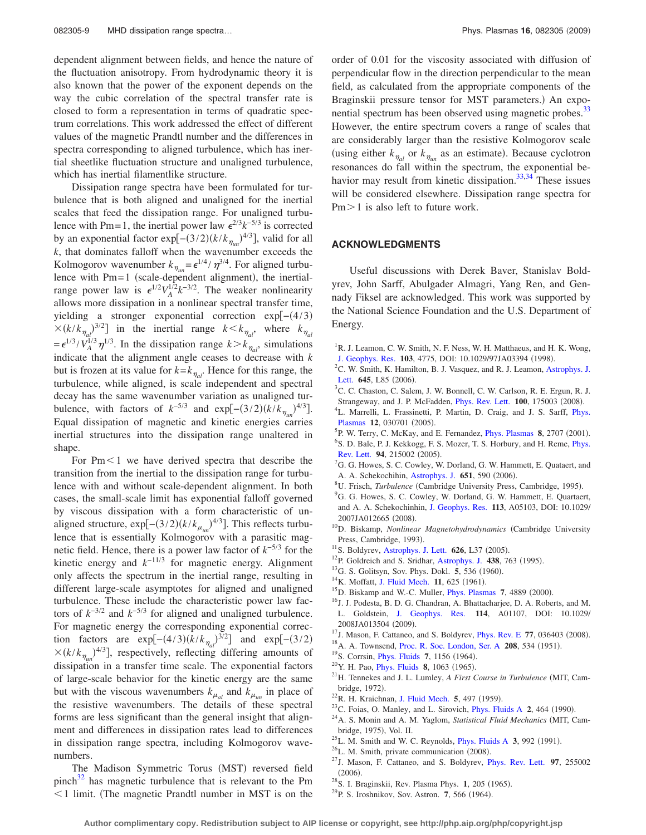dependent alignment between fields, and hence the nature of the fluctuation anisotropy. From hydrodynamic theory it is also known that the power of the exponent depends on the way the cubic correlation of the spectral transfer rate is closed to form a representation in terms of quadratic spectrum correlations. This work addressed the effect of different values of the magnetic Prandtl number and the differences in spectra corresponding to aligned turbulence, which has inertial sheetlike fluctuation structure and unaligned turbulence, which has inertial filamentlike structure.

Dissipation range spectra have been formulated for turbulence that is both aligned and unaligned for the inertial scales that feed the dissipation range. For unaligned turbulence with Pm= 1, the inertial power law  $\epsilon^{2/3} k^{-5/3}$  is corrected by an exponential factor exp[ $-(3/2)(k/k_{\eta_{un}})^{4/3}]$ , valid for all *k*, that dominates falloff when the wavenumber exceeds the Kolmogorov wavenumber  $k_{\eta_{un}} = \epsilon^{1/4} / \eta^{3/4}$ . For aligned turbulence with Pm=1 (scale-dependent alignment), the inertialrange power law is  $\epsilon^{1/2} V_A^{1/2} k^{-3/2}$ . The weaker nonlinearity allows more dissipation in a nonlinear spectral transfer time, yielding a stronger exponential correction exp[-(4/3)  $\times (k/k_{\eta_{al}})^{3/2}]$  in the inertial range  $k < k_{\eta_{al}}$ , where  $k_{\eta_{al}}$  $= \epsilon^{1/3} / V_A^{1/3} \eta^{1/3}$ . In the dissipation range  $k > k_{\eta_{al}}$ , simulations indicate that the alignment angle ceases to decrease with *k* but is frozen at its value for  $k = k_{\eta_{al}}$ . Hence for this range, the turbulence, while aligned, is scale independent and spectral decay has the same wavenumber variation as unaligned turbulence, with factors of  $k^{-5/3}$  and  $\exp[-(3/2)(k/k_{\eta_{un}})^{4/3}].$ Equal dissipation of magnetic and kinetic energies carries inertial structures into the dissipation range unaltered in shape.

For  $Pm<1$  we have derived spectra that describe the transition from the inertial to the dissipation range for turbulence with and without scale-dependent alignment. In both cases, the small-scale limit has exponential falloff governed by viscous dissipation with a form characteristic of unaligned structure,  $\exp[-(3/2)(k/k_{\mu_{un}})^{4/3}]$ . This reflects turbulence that is essentially Kolmogorov with a parasitic magnetic field. Hence, there is a power law factor of *k*−5/<sup>3</sup> for the kinetic energy and *k*−11/<sup>3</sup> for magnetic energy. Alignment only affects the spectrum in the inertial range, resulting in different large-scale asymptotes for aligned and unaligned turbulence. These include the characteristic power law factors of  $k^{-3/2}$  and  $k^{-5/3}$  for aligned and unaligned turbulence. For magnetic energy the corresponding exponential correction factors are  $exp[-(4/3)(k/k_{\eta_a})^{3/2}]$  and  $exp[-(3/2)]$  $\times (k/k_{\eta_{un}})^{4/3}$ , respectively, reflecting differing amounts of dissipation in a transfer time scale. The exponential factors of large-scale behavior for the kinetic energy are the same but with the viscous wavenumbers  $k_{\mu_{al}}$  and  $k_{\mu_{un}}$  in place of the resistive wavenumbers. The details of these spectral forms are less significant than the general insight that alignment and differences in dissipation rates lead to differences in dissipation range spectra, including Kolmogorov wavenumbers.

The Madison Symmetric Torus (MST) reversed field pinch $32$  has magnetic turbulence that is relevant to the Pm  $1$  limit. (The magnetic Prandtl number in MST is on the order of 0.01 for the viscosity associated with diffusion of perpendicular flow in the direction perpendicular to the mean field, as calculated from the appropriate components of the Braginskii pressure tensor for MST parameters.) An exponential spectrum has been observed using magnetic probes.<sup>33</sup> However, the entire spectrum covers a range of scales that are considerably larger than the resistive Kolmogorov scale (using either  $k_{\eta_{al}}$  or  $k_{\eta_{un}}$  as an estimate). Because cyclotron resonances do fall within the spectrum, the exponential behavior may result from kinetic dissipation. $33,34$  $33,34$  These issues will be considered elsewhere. Dissipation range spectra for  $Pm > 1$  is also left to future work.

## **ACKNOWLEDGMENTS**

Useful discussions with Derek Baver, Stanislav Boldyrev, John Sarff, Abulgader Almagri, Yang Ren, and Gennady Fiksel are acknowledged. This work was supported by the National Science Foundation and the U.S. Department of Energy.

- <span id="page-8-0"></span><sup>1</sup>R. J. Leamon, C. W. Smith, N. F. Ness, W. H. Matthaeus, and H. K. Wong, [J. Geophys. Res.](http://dx.doi.org/10.1029/97JA03394) 103, 4775, DOI: 10.1029/97JA03394 (1998).
- <span id="page-8-1"></span><sup>2</sup>C. W. Smith, K. Hamilton, B. J. Vasquez, and R. J. Leamon, [Astrophys. J.](http://dx.doi.org/10.1086/506151) [Lett.](http://dx.doi.org/10.1086/506151) 645, L85 (2006).
- <span id="page-8-2"></span><sup>3</sup>C. C. Chaston, C. Salem, J. W. Bonnell, C. W. Carlson, R. E. Ergun, R. J. Strangeway, and J. P. McFadden, *[Phys. Rev. Lett.](http://dx.doi.org/10.1103/PhysRevLett.100.175003)* 100, 175003 (2008).
- <span id="page-8-3"></span><sup>4</sup>L. Marrelli, L. Frassinetti, P. Martin, D. Craig, and J. S. Sarff, *[Phys.](http://dx.doi.org/10.1063/1.1850475)* [Plasmas](http://dx.doi.org/10.1063/1.1850475) 12, 030701 (2005).
- <span id="page-8-4"></span><sup>5</sup>P. W. Terry, C. McKay, and E. Fernandez, *[Phys. Plasmas](http://dx.doi.org/10.1063/1.1362531)* 8, 2707 (2001). <sup>6</sup>S. D. Bale, P. J. Kekkogg, F. S. Mozer, T. S. Horbury, and H. Reme, *[Phys.](http://dx.doi.org/10.1103/PhysRevLett.94.215002)* [Rev. Lett.](http://dx.doi.org/10.1103/PhysRevLett.94.215002) 94, 215002 (2005).
- <span id="page-8-5"></span><sup>7</sup>G. G. Howes, S. C. Cowley, W. Dorland, G. W. Hammett, E. Quataert, and A. A. Schekochihin, [Astrophys. J.](http://dx.doi.org/10.1086/506172) 651, 590 (2006).
- <span id="page-8-6"></span><sup>8</sup>U. Frisch, *Turbulence* (Cambridge University Press, Cambridge, 1995).
- <span id="page-8-7"></span><sup>9</sup>G. G. Howes, S. C. Cowley, W. Dorland, G. W. Hammett, E. Quartaert, and A. A. Schekochinhin, [J. Geophys. Res.](http://dx.doi.org/10.1029/2007JA012665) **113**, A05103, DOI: 10.1029/ 2007JA012665 (2008).
- <span id="page-8-8"></span>10D. Biskamp, *Nonlinear Magnetohydrodynamics* Cambridge University Press, Cambridge, 1993).
- <span id="page-8-9"></span><sup>11</sup>S. Boldyrev, [Astrophys. J. Lett.](http://dx.doi.org/10.1086/431649) **626**, L37 (2005).
- <span id="page-8-10"></span><sup>12</sup>P. Goldreich and S. Sridhar, [Astrophys. J.](http://dx.doi.org/10.1086/175121) 438, 763 (1995).
- <span id="page-8-11"></span><sup>13</sup>G. S. Golitsyn, Sov. Phys. Dokl. 5, 536 (1960).
- <span id="page-8-12"></span><sup>14</sup>K. Moffatt, [J. Fluid Mech.](http://dx.doi.org/10.1017/S0022112061000779) 11, 625 (1961).
- <span id="page-8-13"></span><sup>15</sup>D. Biskamp and W.-C. Muller, *[Phys. Plasmas](http://dx.doi.org/10.1063/1.1322562)* 7, 4889 (2000).
- <span id="page-8-14"></span><sup>16</sup>J. J. Podesta, B. D. G. Chandran, A. Bhattacharjee, D. A. Roberts, and M. L. Goldstein, [J. Geophys. Res.](http://dx.doi.org/10.1029/2008JA013504) **114**, A01107, DOI: 10.1029/ 2008JA013504 (2009).
- <span id="page-8-15"></span><sup>17</sup>J. Mason, F. Cattaneo, and S. Boldyrev, *[Phys. Rev. E](http://dx.doi.org/10.1103/PhysRevE.77.036403)* 77, 036403 (2008).
- <span id="page-8-16"></span><sup>18</sup> A. A. Townsend, [Proc. R. Soc. London, Ser. A](http://dx.doi.org/10.1098/rspa.1951.0179) **208**, 534 (1951).
- <span id="page-8-21"></span><sup>19</sup>S. Corrsin, *[Phys. Fluids](http://dx.doi.org/10.1063/1.1711355)* 7, 1156 (1964).
- <span id="page-8-22"></span><sup>20</sup> Y. H. Pao, *[Phys. Fluids](http://dx.doi.org/10.1063/1.1761356)* **8**, 1063 (1965).
- <span id="page-8-20"></span><sup>21</sup>H. Tennekes and J. L. Lumley, *A First Course in Turbulence* (MIT, Cambridge, 1972).
- <span id="page-8-18"></span><sup>22</sup> R. H. Kraichnan, [J. Fluid Mech.](http://dx.doi.org/10.1017/S0022112059000362) 5, 497 (1959).
- <sup>23</sup>C. Foias, O. Manley, and L. Sirovich, *[Phys. Fluids A](http://dx.doi.org/10.1063/1.857744)* 2, 464 (1990).
- <span id="page-8-17"></span><sup>24</sup> A. S. Monin and A. M. Yaglom, *Statistical Fluid Mechanics* (MIT, Cambridge, 1975), Vol. II.
- <span id="page-8-19"></span> $^{25}$ L. M. Smith and W. C. Reynolds, *[Phys. Fluids A](http://dx.doi.org/10.1063/1.857979)* 3, 992 (1991).
- <span id="page-8-23"></span> $^{26}$ L. M. Smith, private communication (2008).
- <span id="page-8-24"></span>27J. Mason, F. Cattaneo, and S. Boldyrev, [Phys. Rev. Lett.](http://dx.doi.org/10.1103/PhysRevLett.97.255002) **97**, 255002  $(2006).$
- <span id="page-8-25"></span><sup>28</sup> S. I. Braginskii, Rev. Plasma Phys. **1**, 205 (1965).
- <span id="page-8-26"></span><sup>29</sup> P. S. Iroshnikov, Sov. Astron. 7, 566 (1964).